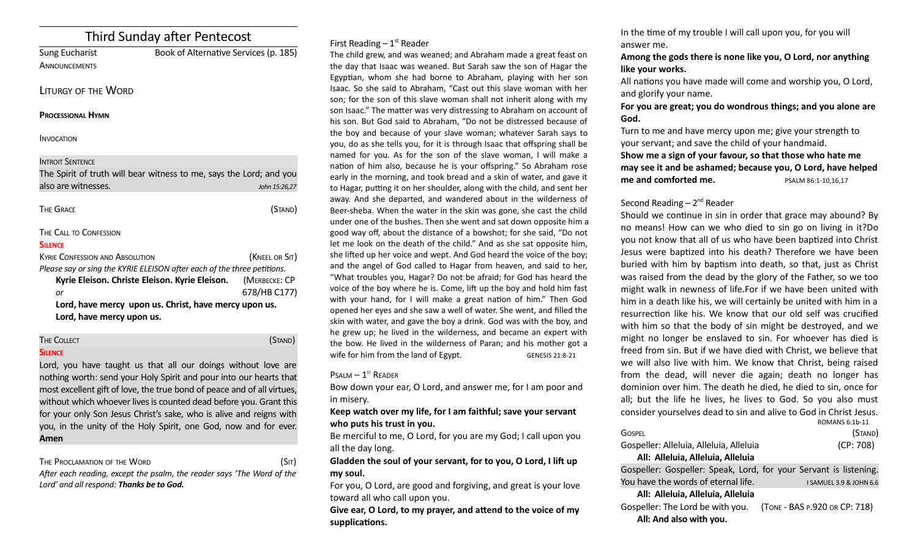# Third Sunday after Pentecost

Sung Eucharist Book of Alternative Services (p. 185) **ANNOUNCEMENTS** 

## LITURGY OF THE WORD

#### **PROCESSIONAL HYMN**

#### **INVOCATION**

#### **INTROIT SENTENCE**

| The Spirit of truth will bear witness to me, says the Lord; and you |  |               |
|---------------------------------------------------------------------|--|---------------|
| also are witnesses.                                                 |  | John 15:26.27 |
|                                                                     |  |               |

The Grace (Stand)

| The Call to Confession                 |                |
|----------------------------------------|----------------|
| Silence                                |                |
| <b>KYRIE CONFESSION AND ABSOLUTION</b> | (KNEEL OR SIT) |
|                                        |                |

| Please say or sing the KYRIE ELEISON after each of the three petitions. |               |
|-------------------------------------------------------------------------|---------------|
| Kyrie Eleison. Christe Eleison. Kyrie Eleison.                          | (MERBECKE: CP |
| or                                                                      | 678/HB C177)  |
| Lord, have mercy upon us. Christ, have mercy upon us.                   |               |

**Lord, have mercy upon us.**

## THE COLLECT **THE COLLECT COLLECT**

#### **SILENCE**

Lord, you have taught us that all our doings without love are nothing worth: send your Holy Spirit and pour into our hearts that most excellent gift of love, the true bond of peace and of all virtues, without which whoever lives is counted dead before you. Grant this for your only Son Jesus Christ's sake, who is alive and reigns with you, in the unity of the Holy Spirit, one God, now and for ever. **Amen**

## THE PROCLAMATION OF THE WORD (SIT)

*Afer each reading, except the psalm, the reader says 'The Word of the Lord' and all respond: Thanks be to God.* 

#### First Reading  $-1<sup>st</sup>$  Reader

The child grew, and was weaned; and Abraham made a great feast on the day that Isaac was weaned. But Sarah saw the son of Hagar the Egyptian, whom she had borne to Abraham, playing with her son Isaac. So she said to Abraham, "Cast out this slave woman with her son; for the son of this slave woman shall not inherit along with my son Isaac." The matter was very distressing to Abraham on account of his son. But God said to Abraham, "Do not be distressed because of the boy and because of your slave woman; whatever Sarah says to you, do as she tells you, for it is through Isaac that offspring shall be named for you. As for the son of the slave woman, I will make a nation of him also, because he is your offspring." So Abraham rose early in the morning, and took bread and a skin of water, and gave it to Hagar, putting it on her shoulder, along with the child, and sent her away. And she departed, and wandered about in the wilderness of Beer-sheba. When the water in the skin was gone, she cast the child under one of the bushes. Then she went and sat down opposite him a good way off, about the distance of a bowshot; for she said, "Do not let me look on the death of the child." And as she sat opposite him, she lifed up her voice and wept. And God heard the voice of the boy; and the angel of God called to Hagar from heaven, and said to her, "What troubles you, Hagar? Do not be afraid; for God has heard the voice of the boy where he is. Come, lift up the boy and hold him fast with your hand, for I will make a great nation of him." Then God opened her eyes and she saw a well of water. She went, and flled the skin with water, and gave the boy a drink. God was with the boy, and he grew up; he lived in the wilderness, and became an expert with the bow. He lived in the wilderness of Paran; and his mother got a wife for him from the land of Egypt. GENESIS 21:8-21

#### $P$ SALM  $-1$ <sup>ST</sup> READER

Bow down your ear, O Lord, and answer me, for I am poor and in misery.

**Keep watch over my life, for I am faithful; save your servant who puts his trust in you.**

Be merciful to me, O Lord, for you are my God; I call upon you all the day long.

**Gladden the soul of your servant, for to you, O Lord, I lift up my soul.**

For you, O Lord, are good and forgiving, and great is your love toward all who call upon you.

**Give ear, O Lord, to my prayer, and attend to the voice of my supplications.**

In the time of my trouble I will call upon you, for you will answer me.

**Among the gods there is none like you, O Lord, nor anything like your works.**

All nations you have made will come and worship you, O Lord. and glorify your name.

**For you are great; you do wondrous things; and you alone are God.**

Turn to me and have mercy upon me; give your strength to your servant; and save the child of your handmaid.

**Show me a sign of your favour, so that those who hate me may see it and be ashamed; because you, O Lord, have helped me and comforted me.** PSALM 86:1-10,16,17

## Second Reading  $-2^{nd}$  Reader

Should we continue in sin in order that grace may abound? By no means! How can we who died to sin go on living in it?Do you not know that all of us who have been baptzed into Christ Jesus were baptized into his death? Therefore we have been buried with him by baptism into death, so that, just as Christ was raised from the dead by the glory of the Father, so we too might walk in newness of life.For if we have been united with him in a death like his, we will certainly be united with him in a resurrection like his. We know that our old self was crucified with him so that the body of sin might be destroyed, and we might no longer be enslaved to sin. For whoever has died is freed from sin. But if we have died with Christ, we believe that we will also live with him. We know that Christ, being raised from the dead, will never die again; death no longer has dominion over him. The death he died, he died to sin, once for all; but the life he lives, he lives to God. So you also must consider yourselves dead to sin and alive to God in Christ Jesus. ROMANS 6:1b-11

| (STAND)                                                           |
|-------------------------------------------------------------------|
| (CP: 708)<br>Gospeller: Alleluia, Alleluia, Alleluia              |
|                                                                   |
| Gospeller: Gospeller: Speak, Lord, for your Servant is listening. |
| <b>I SAMUEL 3.9 &amp; JOHN 6.6</b>                                |
|                                                                   |
| (TONE - BAS P.920 OR CP: 718)                                     |
|                                                                   |
|                                                                   |